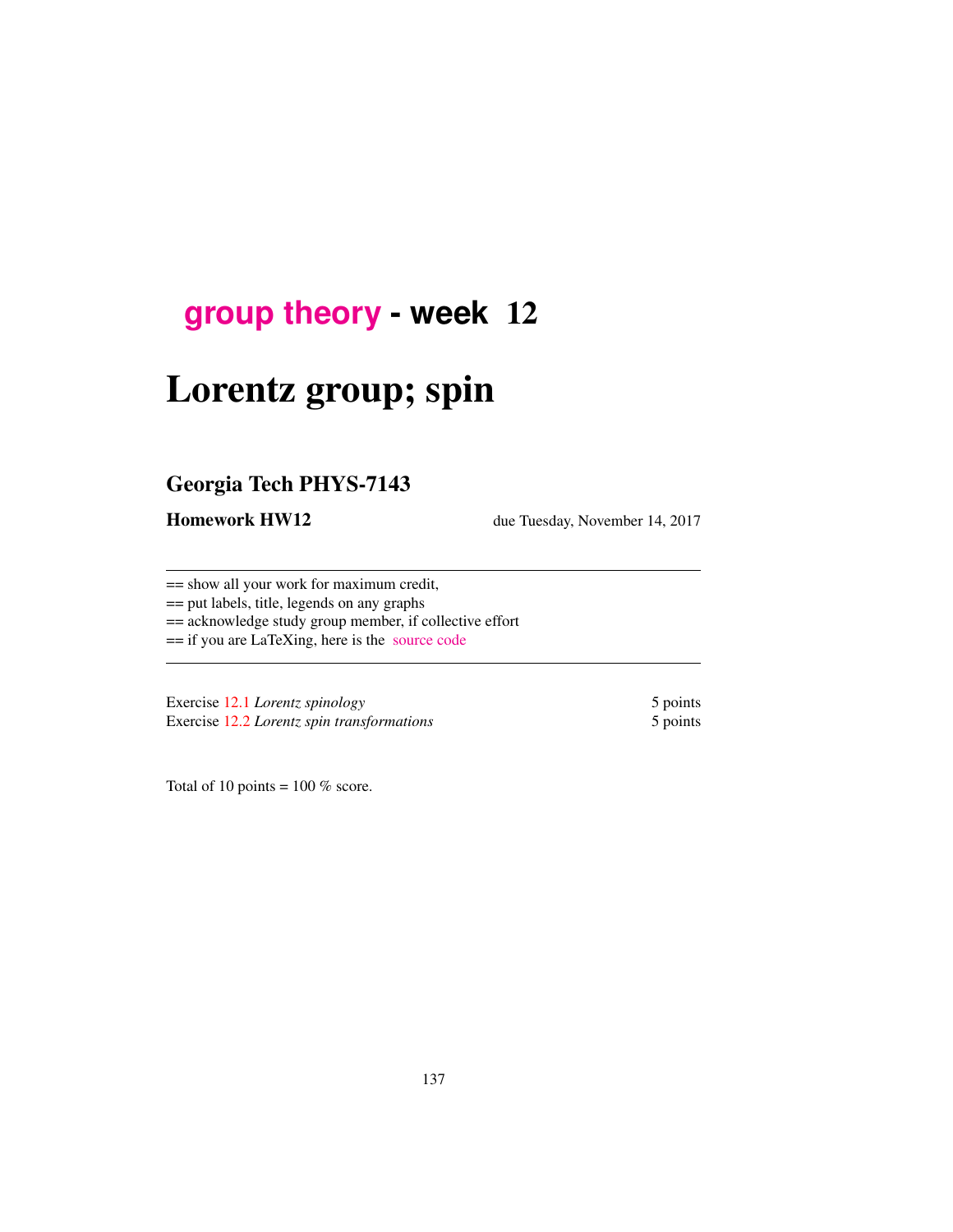## **[group theory](http://birdtracks.eu/courses/PHYS-7143-17/schedule.html) - week** 12

# Lorentz group; spin

## Georgia Tech PHYS-7143

**Homework HW12** due Tuesday, November 14, 2017

== show all your work for maximum credit,

== put labels, title, legends on any graphs

== acknowledge study group member, if collective effort

== if you are LaTeXing, here is the [source code](http://birdtracks.eu/courses/PHYS-7143-17/exerWeek12.tex)

Exercise 12.1 *Lorentz spinology* 5 points Exercise 12.2 *Lorentz spin transformations* 5 points

Total of 10 points =  $100\%$  score.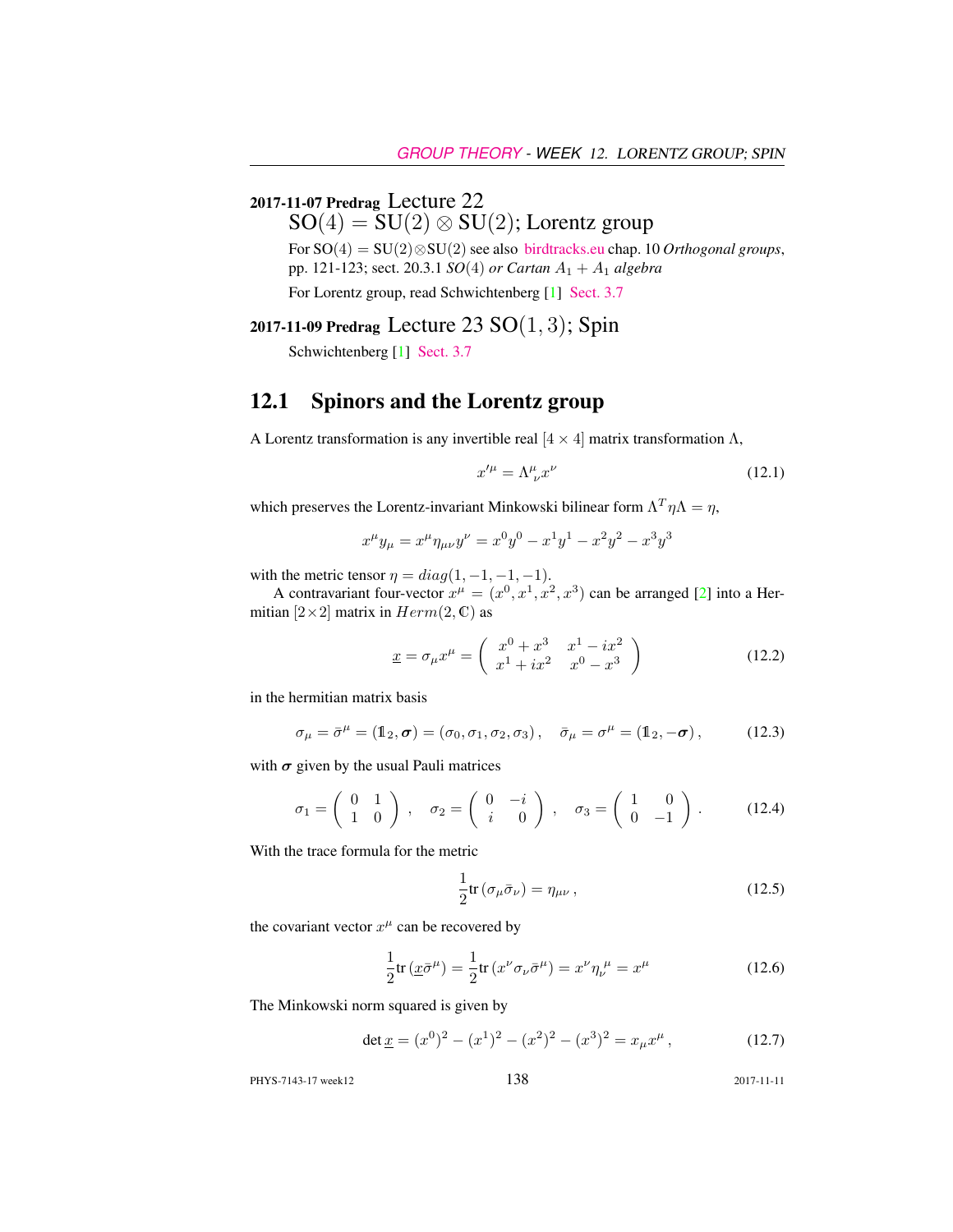#### 2017-11-07 Predrag Lecture 22

 $SO(4) = SU(2) \otimes SU(2)$ ; Lorentz group

For SO(4) = SU(2)⊗SU(2) see also [birdtracks.eu](http://birdtracks.eu/version9.0/GroupTheory.pdf) chap. 10 *Orthogonal groups*, pp. 121-123; sect. 20.3.1 *SO*(4) *or Cartan* A<sup>1</sup> + A<sup>1</sup> *algebra*

For Lorentz group, read Schwichtenberg [1] [Sect. 3.7](https://t-square.gatech.edu/access/content/group/gtc-9ae2-91c3-5dad-be49-e35f71b9790a/Schwicht17_3_7.pdf)

2017-11-09 Predrag Lecture 23  $SO(1, 3)$ ; Spin

Schwichtenberg [1] [Sect. 3.7](https://t-square.gatech.edu/access/content/group/gtc-9ae2-91c3-5dad-be49-e35f71b9790a/Schwicht17_3_7.pdf)

#### 12.1 Spinors and the Lorentz group

A Lorentz transformation is any invertible real  $[4 \times 4]$  matrix transformation  $\Lambda$ ,

$$
x^{\prime \mu} = \Lambda^{\mu}_{\ \nu} x^{\nu} \tag{12.1}
$$

which preserves the Lorentz-invariant Minkowski bilinear form  $\Lambda^T \eta \Lambda = \eta$ ,

$$
x^{\mu}y_{\mu} = x^{\mu}\eta_{\mu\nu}y^{\nu} = x^{0}y^{0} - x^{1}y^{1} - x^{2}y^{2} - x^{3}y^{3}
$$

with the metric tensor  $\eta = diag(1, -1, -1, -1)$ .

A contravariant four-vector  $x^{\mu} = (x^0, x^1, x^2, x^3)$  can be arranged [2] into a Hermitian  $[2\times2]$  matrix in  $Herm(2, \mathbb{C})$  as

$$
\underline{x} = \sigma_{\mu} x^{\mu} = \begin{pmatrix} x^{0} + x^{3} & x^{1} - ix^{2} \\ x^{1} + ix^{2} & x^{0} - x^{3} \end{pmatrix}
$$
 (12.2)

in the hermitian matrix basis

$$
\sigma_{\mu} = \bar{\sigma}^{\mu} = (\mathbb{1}_2, \sigma) = (\sigma_0, \sigma_1, \sigma_2, \sigma_3), \quad \bar{\sigma}_{\mu} = \sigma^{\mu} = (\mathbb{1}_2, -\sigma), \quad (12.3)
$$

with  $\sigma$  given by the usual Pauli matrices

$$
\sigma_1 = \begin{pmatrix} 0 & 1 \\ 1 & 0 \end{pmatrix}, \quad \sigma_2 = \begin{pmatrix} 0 & -i \\ i & 0 \end{pmatrix}, \quad \sigma_3 = \begin{pmatrix} 1 & 0 \\ 0 & -1 \end{pmatrix}.
$$
 (12.4)

With the trace formula for the metric

$$
\frac{1}{2}\text{tr}\left(\sigma_{\mu}\bar{\sigma}_{\nu}\right) = \eta_{\mu\nu},\qquad(12.5)
$$

the covariant vector  $x^{\mu}$  can be recovered by

$$
\frac{1}{2}\text{tr}\left(\underline{x}\bar{\sigma}^{\mu}\right) = \frac{1}{2}\text{tr}\left(x^{\nu}\sigma_{\nu}\bar{\sigma}^{\mu}\right) = x^{\nu}\eta_{\nu}^{\ \mu} = x^{\mu} \tag{12.6}
$$

The Minkowski norm squared is given by

$$
\det \underline{x} = (x^0)^2 - (x^1)^2 - (x^2)^2 - (x^3)^2 = x_\mu x^\mu, \qquad (12.7)
$$

PHYS-7143-17 week12 138 2017-11-11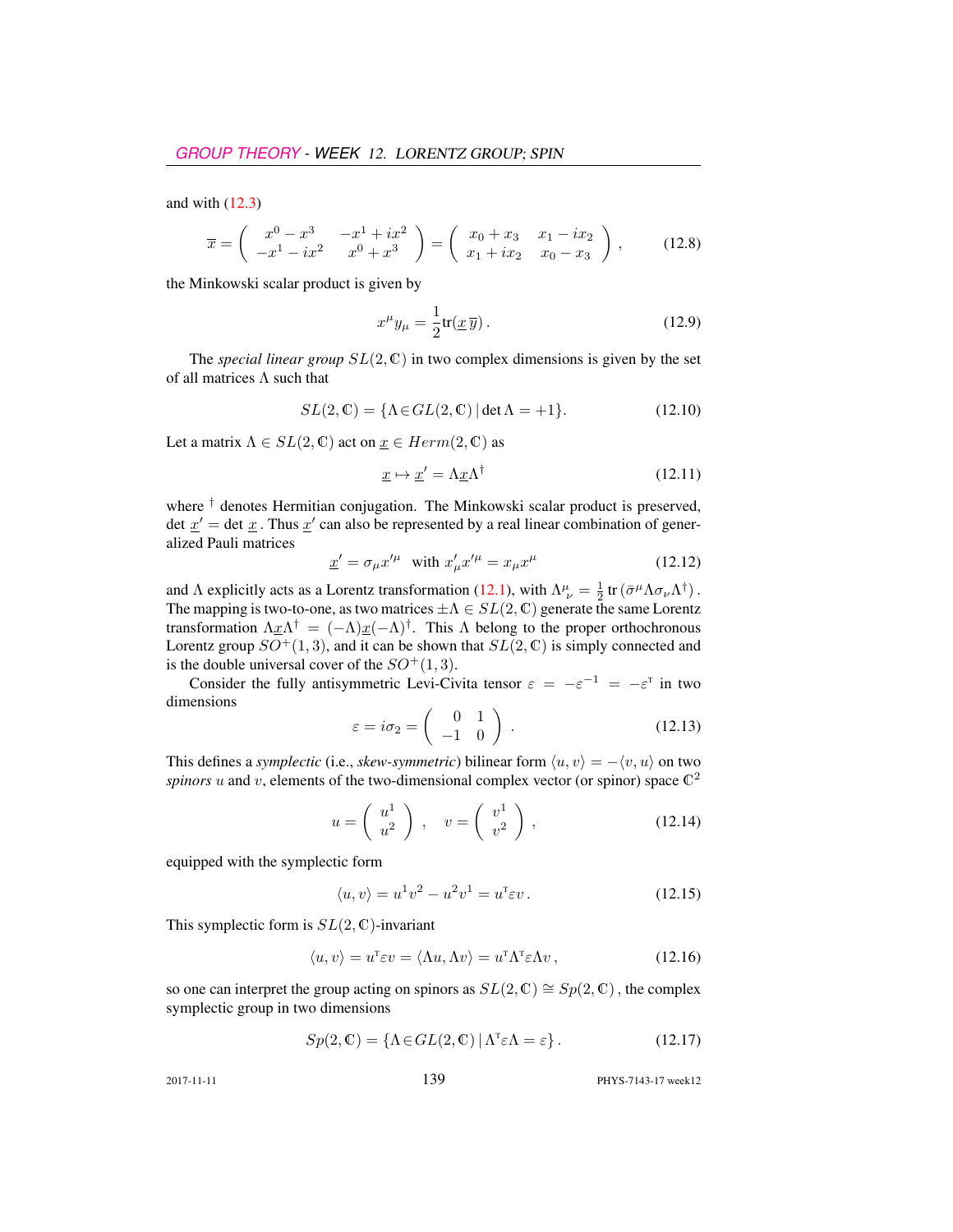and with  $(12.3)$ 

$$
\overline{x} = \begin{pmatrix} x^0 - x^3 & -x^1 + ix^2 \\ -x^1 - ix^2 & x^0 + x^3 \end{pmatrix} = \begin{pmatrix} x_0 + x_3 & x_1 - ix_2 \\ x_1 + ix_2 & x_0 - x_3 \end{pmatrix},
$$
(12.8)

the Minkowski scalar product is given by

$$
x^{\mu}y_{\mu} = \frac{1}{2}\text{tr}(\underline{x}\,\overline{y})\,. \tag{12.9}
$$

The *special linear group*  $SL(2, \mathbb{C})$  in two complex dimensions is given by the set of all matrices  $\Lambda$  such that

$$
SL(2,\mathbb{C}) = \{ \Lambda \in GL(2,\mathbb{C}) \, | \, \det \Lambda = +1 \}. \tag{12.10}
$$

Let a matrix  $\Lambda \in SL(2, \mathbb{C})$  act on  $\underline{x} \in Herm(2, \mathbb{C})$  as

$$
\underline{x} \mapsto \underline{x}' = \Lambda \underline{x} \Lambda^{\dagger} \tag{12.11}
$$

where <sup>†</sup> denotes Hermitian conjugation. The Minkowski scalar product is preserved, det  $\underline{x}'$  = det  $\underline{x}$ . Thus  $\underline{x}'$  can also be represented by a real linear combination of generalized Pauli matrices

$$
\underline{x}' = \sigma_{\mu} x'^{\mu} \quad \text{with } x'_{\mu} x'^{\mu} = x_{\mu} x^{\mu} \tag{12.12}
$$

and  $\Lambda$  explicitly acts as a Lorentz transformation (12.1), with  $\Lambda^{\mu}_{\ \nu} = \frac{1}{2} \text{tr} (\bar{\sigma}^{\mu} \Lambda \sigma_{\nu} \Lambda^{\dagger})$ . The mapping is two-to-one, as two matrices  $\pm \Lambda \in SL(2, \mathbb{C})$  generate the same Lorentz transformation  $\Lambda \underline{x} \Lambda^{\dagger} = (-\Lambda) \underline{x} (-\Lambda)^{\dagger}$ . This  $\Lambda$  belong to the proper orthochronous Lorentz group  $SO^+(1,3)$ , and it can be shown that  $SL(2,\mathbb{C})$  is simply connected and is the double universal cover of the  $SO^+(1,3)$ .

Consider the fully antisymmetric Levi-Civita tensor  $\varepsilon = -\varepsilon^{-1} = -\varepsilon^{T}$  in two dimensions

$$
\varepsilon = i\sigma_2 = \begin{pmatrix} 0 & 1 \\ -1 & 0 \end{pmatrix} . \tag{12.13}
$$

This defines a *symplectic* (i.e., *skew-symmetric*) bilinear form  $\langle u, v \rangle = -\langle v, u \rangle$  on two *spinors*  $u$  and  $v$ , elements of the two-dimensional complex vector (or spinor) space  $\mathbb{C}^2$ 

$$
u = \left(\begin{array}{c} u^1 \\ u^2 \end{array}\right) , \quad v = \left(\begin{array}{c} v^1 \\ v^2 \end{array}\right) , \tag{12.14}
$$

equipped with the symplectic form

$$
\langle u, v \rangle = u^1 v^2 - u^2 v^1 = u^{\mathrm{T}} \varepsilon v \,. \tag{12.15}
$$

This symplectic form is  $SL(2, \mathbb{C})$ -invariant

$$
\langle u, v \rangle = u^{\mathsf{T}} \varepsilon v = \langle \Lambda u, \Lambda v \rangle = u^{\mathsf{T}} \Lambda^{\mathsf{T}} \varepsilon \Lambda v, \qquad (12.16)
$$

so one can interpret the group acting on spinors as  $SL(2, \mathbb{C}) \cong Sp(2, \mathbb{C})$ , the complex symplectic group in two dimensions

$$
Sp(2, \mathbb{C}) = \{ \Lambda \in GL(2, \mathbb{C}) \, | \, \Lambda^{\mathsf{T}} \varepsilon \Lambda = \varepsilon \}. \tag{12.17}
$$

2017-11-11 139 PHYS-7143-17 week12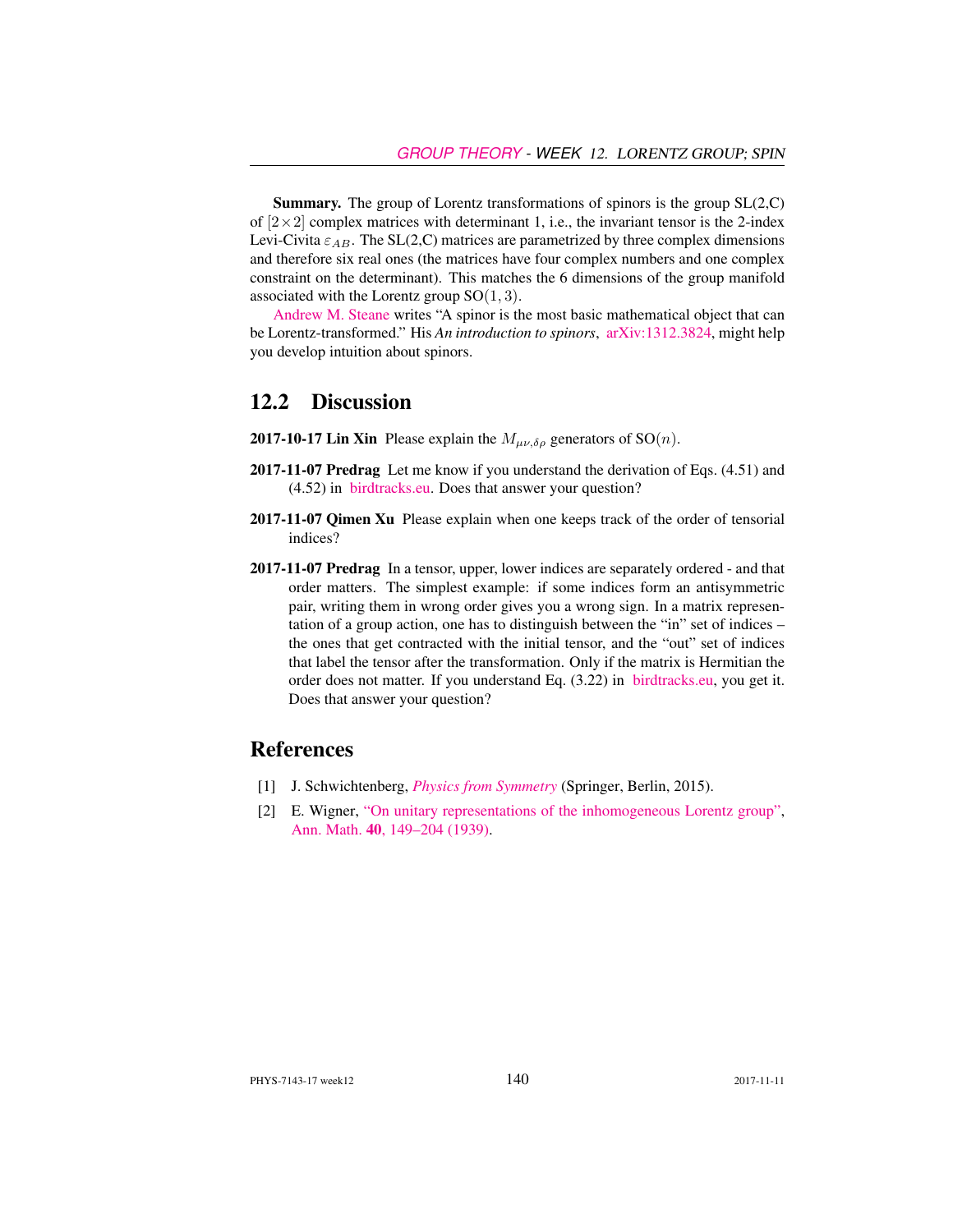Summary. The group of Lorentz transformations of spinors is the group SL(2,C) of  $[2\times2]$  complex matrices with determinant 1, i.e., the invariant tensor is the 2-index Levi-Civita  $\varepsilon_{AB}$ . The SL(2,C) matrices are parametrized by three complex dimensions and therefore six real ones (the matrices have four complex numbers and one complex constraint on the determinant). This matches the 6 dimensions of the group manifold associated with the Lorentz group  $SO(1,3)$ .

[Andrew M. Steane](https://users.physics.ox.ac.uk/~Steane/) writes "A spinor is the most basic mathematical object that can be Lorentz-transformed." His *An introduction to spinors*, [arXiv:1312.3824,](http://arXiv.org/abs/1312.3824) might help you develop intuition about spinors.

#### 12.2 Discussion

- **2017-10-17 Lin Xin** Please explain the  $M_{\mu\nu\delta\rho}$  generators of SO(*n*).
- 2017-11-07 Predrag Let me know if you understand the derivation of Eqs. (4.51) and (4.52) in [birdtracks.eu.](http://birdtracks.eu/courses/PHYS-7143-17/PCgr_pp33_38.pdf) Does that answer your question?
- 2017-11-07 Qimen Xu Please explain when one keeps track of the order of tensorial indices?
- 2017-11-07 Predrag In a tensor, upper, lower indices are separately ordered and that order matters. The simplest example: if some indices form an antisymmetric pair, writing them in wrong order gives you a wrong sign. In a matrix representation of a group action, one has to distinguish between the "in" set of indices – the ones that get contracted with the initial tensor, and the "out" set of indices that label the tensor after the transformation. Only if the matrix is Hermitian the order does not matter. If you understand Eq. (3.22) in [birdtracks.eu,](http://birdtracks.eu/courses/PHYS-7143-17/PCgr_pp16_20.pdf) you get it. Does that answer your question?

#### References

- [1] J. Schwichtenberg, *[Physics from Symmetry](http://dx.doi.org/10.1007/978-3-319-19201-7)* (Springer, Berlin, 2015).
- [2] E. Wigner, ["On unitary representations of the inhomogeneous Lorentz group",](http://www.jstor.org/stable/1968551) Ann. Math. 40[, 149–204 \(1939\).](http://www.jstor.org/stable/1968551)